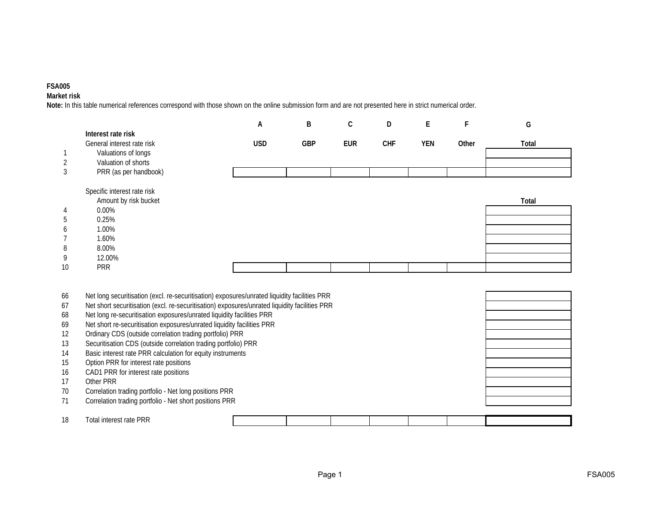## **FSA005**

**Market risk**

**Note:** In this table numerical references correspond with those shown on the online submission form and are not presented here in strict numerical order.

|    |                                                                                               | А          | B          | $\mathsf C$ | D          | E   | F     | G     |
|----|-----------------------------------------------------------------------------------------------|------------|------------|-------------|------------|-----|-------|-------|
|    | Interest rate risk<br>General interest rate risk                                              | <b>USD</b> | <b>GBP</b> | <b>EUR</b>  | <b>CHF</b> | YEN | Other | Total |
|    | Valuations of longs                                                                           |            |            |             |            |     |       |       |
|    | Valuation of shorts                                                                           |            |            |             |            |     |       |       |
| 3  | PRR (as per handbook)                                                                         |            |            |             |            |     |       |       |
|    | Specific interest rate risk                                                                   |            |            |             |            |     |       |       |
|    | Amount by risk bucket                                                                         |            |            |             |            |     |       | Total |
|    | $0.00\%$                                                                                      |            |            |             |            |     |       |       |
| 5  | 0.25%                                                                                         |            |            |             |            |     |       |       |
|    | 1.00%                                                                                         |            |            |             |            |     |       |       |
|    | 1.60%                                                                                         |            |            |             |            |     |       |       |
| 8  | 8.00%                                                                                         |            |            |             |            |     |       |       |
| 9  | 12.00%                                                                                        |            |            |             |            |     |       |       |
| 10 | <b>PRR</b>                                                                                    |            |            |             |            |     |       |       |
|    |                                                                                               |            |            |             |            |     |       |       |
| 66 | Net long securitisation (excl. re-securitisation) exposures/unrated liquidity facilities PRR  |            |            |             |            |     |       |       |
| 67 | Net short securitisation (excl. re-securitisation) exposures/unrated liquidity facilities PRR |            |            |             |            |     |       |       |
| 68 | Net long re-securitisation exposures/unrated liquidity facilities PRR                         |            |            |             |            |     |       |       |
| 69 | Net short re-securitisation exposures/unrated liquidity facilities PRR                        |            |            |             |            |     |       |       |
| 12 | Ordinary CDS (outside correlation trading portfolio) PRR                                      |            |            |             |            |     |       |       |
| 13 | Securitisation CDS (outside correlation trading portfolio) PRR                                |            |            |             |            |     |       |       |

13 Securitisation CDS (outside correlation trading portfolio) PRR 14 Basic interest rate PRR calculation for equity instruments

- 
- 15 Option PRR for interest rate positions
- 16 CAD1 PRR for interest rate positions
- 17 Other PRR<br>
70 Correlation
- 70 Correlation trading portfolio Net long positions PRR<br>71 Correlation trading portfolio Net short positions PRR
- Correlation trading portfolio Net short positions PRR

| 10<br>- 11 12 | PRR<br>l otal<br>rota<br>Intract<br>Tait |  |  |  |  |
|---------------|------------------------------------------|--|--|--|--|
|               |                                          |  |  |  |  |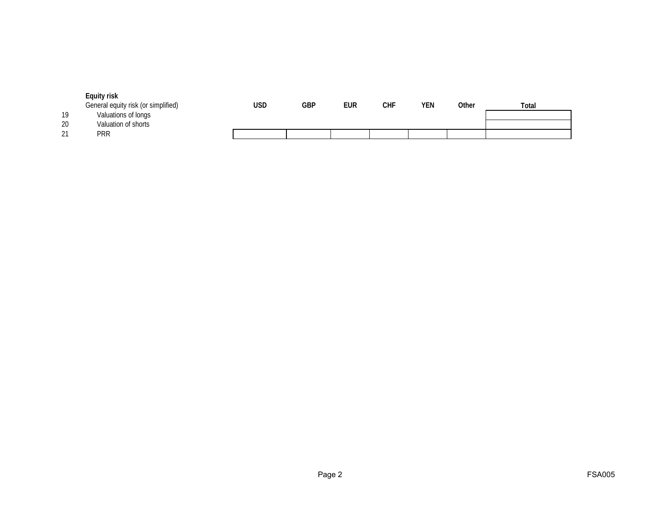|    | Equity risk                         |     |     |     |            |     |       |       |
|----|-------------------------------------|-----|-----|-----|------------|-----|-------|-------|
|    | General equity risk (or simplified) | USD | GBP | EUR | <b>CHF</b> | YEN | Other | Total |
| 19 | Valuations of longs                 |     |     |     |            |     |       |       |
| 20 | Valuation of shorts                 |     |     |     |            |     |       |       |
| 21 | <b>PRR</b>                          |     |     |     |            |     |       |       |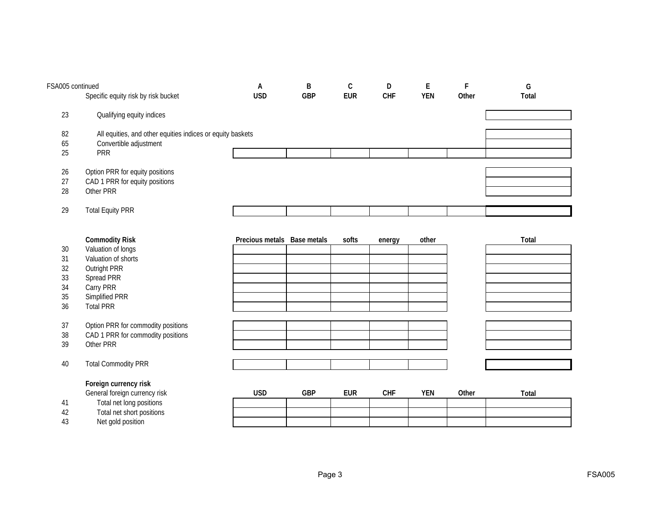| FSA005 continued |                                                            | A               | B                  | $\mathsf C$ | D          | $\mathsf E$ | F     | G     |
|------------------|------------------------------------------------------------|-----------------|--------------------|-------------|------------|-------------|-------|-------|
|                  | Specific equity risk by risk bucket                        | <b>USD</b>      | <b>GBP</b>         | <b>EUR</b>  | <b>CHF</b> | <b>YEN</b>  | Other | Total |
| 23               | Qualifying equity indices                                  |                 |                    |             |            |             |       |       |
|                  |                                                            |                 |                    |             |            |             |       |       |
| 82               | All equities, and other equities indices or equity baskets |                 |                    |             |            |             |       |       |
| 65               | Convertible adjustment                                     |                 |                    |             |            |             |       |       |
| 25               | <b>PRR</b>                                                 |                 |                    |             |            |             |       |       |
| 26               | Option PRR for equity positions                            |                 |                    |             |            |             |       |       |
| 27               | CAD 1 PRR for equity positions                             |                 |                    |             |            |             |       |       |
| 28               | Other PRR                                                  |                 |                    |             |            |             |       |       |
| 29               | <b>Total Equity PRR</b>                                    |                 |                    |             |            |             |       |       |
|                  |                                                            |                 |                    |             |            |             |       |       |
|                  |                                                            |                 |                    |             |            |             |       |       |
|                  | <b>Commodity Risk</b>                                      | Precious metals | <b>Base metals</b> | softs       | energy     | other       |       | Total |
| 30               | Valuation of longs                                         |                 |                    |             |            |             |       |       |
| 31               | Valuation of shorts                                        |                 |                    |             |            |             |       |       |
| 32               | Outright PRR                                               |                 |                    |             |            |             |       |       |
| 33               | Spread PRR                                                 |                 |                    |             |            |             |       |       |
| 34               | Carry PRR                                                  |                 |                    |             |            |             |       |       |
| 35               | Simplified PRR                                             |                 |                    |             |            |             |       |       |
| 36               | <b>Total PRR</b>                                           |                 |                    |             |            |             |       |       |
| 37               | Option PRR for commodity positions                         |                 |                    |             |            |             |       |       |
| 38               | CAD 1 PRR for commodity positions                          |                 |                    |             |            |             |       |       |
| 39               | Other PRR                                                  |                 |                    |             |            |             |       |       |
| 40               | <b>Total Commodity PRR</b>                                 |                 |                    |             |            |             |       |       |
|                  | Foreign currency risk                                      |                 |                    |             |            |             |       |       |
|                  | General foreign currency risk                              | <b>USD</b>      | <b>GBP</b>         | <b>EUR</b>  | <b>CHF</b> | <b>YEN</b>  | Other | Total |
| 41               | Total net long positions                                   |                 |                    |             |            |             |       |       |
| 42               | Total net short positions                                  |                 |                    |             |            |             |       |       |
| 43               | Net gold position                                          |                 |                    |             |            |             |       |       |
|                  |                                                            |                 |                    |             |            |             |       |       |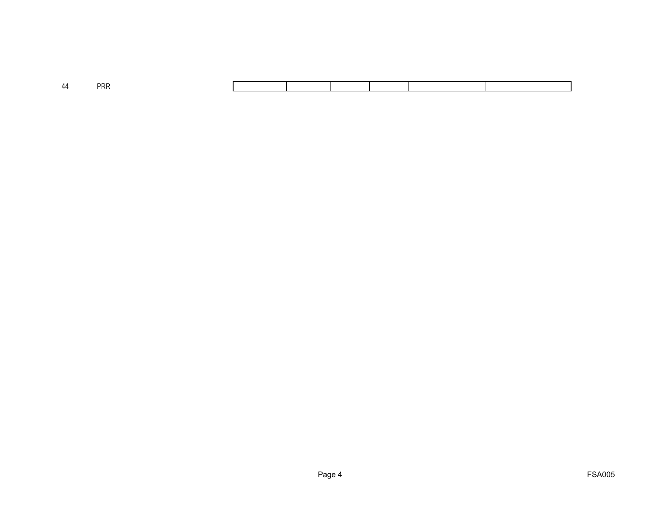| 44 | DDE |  |  |  |  |
|----|-----|--|--|--|--|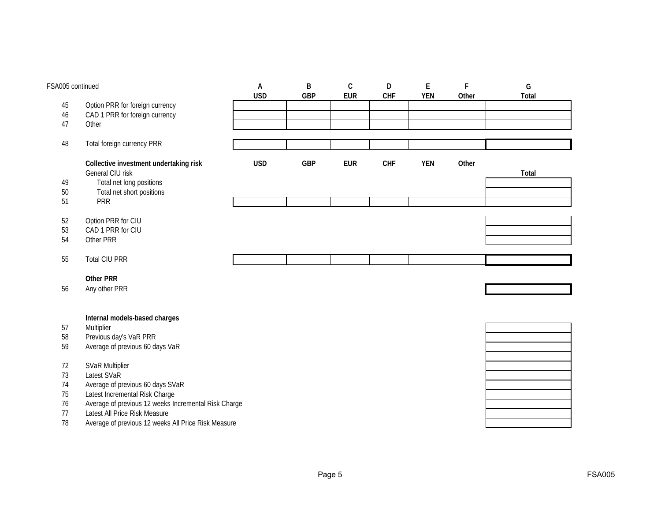| 45<br>Option PRR for foreign currency<br>CAD 1 PRR for foreign currency<br>46<br>47<br>Other<br>Total foreign currency PRR<br>48<br><b>USD</b><br>Collective investment undertaking risk<br><b>GBP</b><br><b>EUR</b><br>CHF<br><b>YEN</b><br>Other<br>General CIU risk<br>Total<br>Total net long positions<br>49<br>Total net short positions<br>$50\,$<br>PRR<br>51<br>52<br>Option PRR for CIU<br>CAD 1 PRR for CIU<br>53<br>54<br>Other PRR<br><b>Total CIU PRR</b><br>55<br><b>Other PRR</b><br>56<br>Any other PRR<br>Internal models-based charges<br>Multiplier<br>57<br>Previous day's VaR PRR<br>58<br>59<br>Average of previous 60 days VaR<br><b>SVaR Multiplier</b><br>72<br>Latest SVaR<br>73<br>Average of previous 60 days SVaR<br>74<br>Latest Incremental Risk Charge<br>75<br>Average of previous 12 weeks Incremental Risk Charge<br>76<br>Latest All Price Risk Measure<br>77 | FSA005 continued |                                                     | $\overline{A}$<br><b>USD</b> | B<br><b>GBP</b> | $\mathsf C$<br><b>EUR</b> | D<br><b>CHF</b> | E<br><b>YEN</b> | F<br>Other | G<br>Total |
|----------------------------------------------------------------------------------------------------------------------------------------------------------------------------------------------------------------------------------------------------------------------------------------------------------------------------------------------------------------------------------------------------------------------------------------------------------------------------------------------------------------------------------------------------------------------------------------------------------------------------------------------------------------------------------------------------------------------------------------------------------------------------------------------------------------------------------------------------------------------------------------------------|------------------|-----------------------------------------------------|------------------------------|-----------------|---------------------------|-----------------|-----------------|------------|------------|
|                                                                                                                                                                                                                                                                                                                                                                                                                                                                                                                                                                                                                                                                                                                                                                                                                                                                                                    |                  |                                                     |                              |                 |                           |                 |                 |            |            |
|                                                                                                                                                                                                                                                                                                                                                                                                                                                                                                                                                                                                                                                                                                                                                                                                                                                                                                    |                  |                                                     |                              |                 |                           |                 |                 |            |            |
|                                                                                                                                                                                                                                                                                                                                                                                                                                                                                                                                                                                                                                                                                                                                                                                                                                                                                                    |                  |                                                     |                              |                 |                           |                 |                 |            |            |
|                                                                                                                                                                                                                                                                                                                                                                                                                                                                                                                                                                                                                                                                                                                                                                                                                                                                                                    |                  |                                                     |                              |                 |                           |                 |                 |            |            |
|                                                                                                                                                                                                                                                                                                                                                                                                                                                                                                                                                                                                                                                                                                                                                                                                                                                                                                    |                  |                                                     |                              |                 |                           |                 |                 |            |            |
|                                                                                                                                                                                                                                                                                                                                                                                                                                                                                                                                                                                                                                                                                                                                                                                                                                                                                                    |                  |                                                     |                              |                 |                           |                 |                 |            |            |
|                                                                                                                                                                                                                                                                                                                                                                                                                                                                                                                                                                                                                                                                                                                                                                                                                                                                                                    |                  |                                                     |                              |                 |                           |                 |                 |            |            |
|                                                                                                                                                                                                                                                                                                                                                                                                                                                                                                                                                                                                                                                                                                                                                                                                                                                                                                    |                  |                                                     |                              |                 |                           |                 |                 |            |            |
|                                                                                                                                                                                                                                                                                                                                                                                                                                                                                                                                                                                                                                                                                                                                                                                                                                                                                                    |                  |                                                     |                              |                 |                           |                 |                 |            |            |
|                                                                                                                                                                                                                                                                                                                                                                                                                                                                                                                                                                                                                                                                                                                                                                                                                                                                                                    |                  |                                                     |                              |                 |                           |                 |                 |            |            |
|                                                                                                                                                                                                                                                                                                                                                                                                                                                                                                                                                                                                                                                                                                                                                                                                                                                                                                    |                  |                                                     |                              |                 |                           |                 |                 |            |            |
|                                                                                                                                                                                                                                                                                                                                                                                                                                                                                                                                                                                                                                                                                                                                                                                                                                                                                                    |                  |                                                     |                              |                 |                           |                 |                 |            |            |
|                                                                                                                                                                                                                                                                                                                                                                                                                                                                                                                                                                                                                                                                                                                                                                                                                                                                                                    |                  |                                                     |                              |                 |                           |                 |                 |            |            |
|                                                                                                                                                                                                                                                                                                                                                                                                                                                                                                                                                                                                                                                                                                                                                                                                                                                                                                    |                  |                                                     |                              |                 |                           |                 |                 |            |            |
|                                                                                                                                                                                                                                                                                                                                                                                                                                                                                                                                                                                                                                                                                                                                                                                                                                                                                                    |                  |                                                     |                              |                 |                           |                 |                 |            |            |
|                                                                                                                                                                                                                                                                                                                                                                                                                                                                                                                                                                                                                                                                                                                                                                                                                                                                                                    |                  |                                                     |                              |                 |                           |                 |                 |            |            |
|                                                                                                                                                                                                                                                                                                                                                                                                                                                                                                                                                                                                                                                                                                                                                                                                                                                                                                    |                  |                                                     |                              |                 |                           |                 |                 |            |            |
|                                                                                                                                                                                                                                                                                                                                                                                                                                                                                                                                                                                                                                                                                                                                                                                                                                                                                                    |                  |                                                     |                              |                 |                           |                 |                 |            |            |
|                                                                                                                                                                                                                                                                                                                                                                                                                                                                                                                                                                                                                                                                                                                                                                                                                                                                                                    |                  |                                                     |                              |                 |                           |                 |                 |            |            |
|                                                                                                                                                                                                                                                                                                                                                                                                                                                                                                                                                                                                                                                                                                                                                                                                                                                                                                    |                  |                                                     |                              |                 |                           |                 |                 |            |            |
|                                                                                                                                                                                                                                                                                                                                                                                                                                                                                                                                                                                                                                                                                                                                                                                                                                                                                                    |                  |                                                     |                              |                 |                           |                 |                 |            |            |
|                                                                                                                                                                                                                                                                                                                                                                                                                                                                                                                                                                                                                                                                                                                                                                                                                                                                                                    |                  |                                                     |                              |                 |                           |                 |                 |            |            |
|                                                                                                                                                                                                                                                                                                                                                                                                                                                                                                                                                                                                                                                                                                                                                                                                                                                                                                    |                  |                                                     |                              |                 |                           |                 |                 |            |            |
|                                                                                                                                                                                                                                                                                                                                                                                                                                                                                                                                                                                                                                                                                                                                                                                                                                                                                                    |                  |                                                     |                              |                 |                           |                 |                 |            |            |
|                                                                                                                                                                                                                                                                                                                                                                                                                                                                                                                                                                                                                                                                                                                                                                                                                                                                                                    |                  |                                                     |                              |                 |                           |                 |                 |            |            |
|                                                                                                                                                                                                                                                                                                                                                                                                                                                                                                                                                                                                                                                                                                                                                                                                                                                                                                    |                  |                                                     |                              |                 |                           |                 |                 |            |            |
|                                                                                                                                                                                                                                                                                                                                                                                                                                                                                                                                                                                                                                                                                                                                                                                                                                                                                                    |                  |                                                     |                              |                 |                           |                 |                 |            |            |
|                                                                                                                                                                                                                                                                                                                                                                                                                                                                                                                                                                                                                                                                                                                                                                                                                                                                                                    | 78               | Average of previous 12 weeks All Price Risk Measure |                              |                 |                           |                 |                 |            |            |